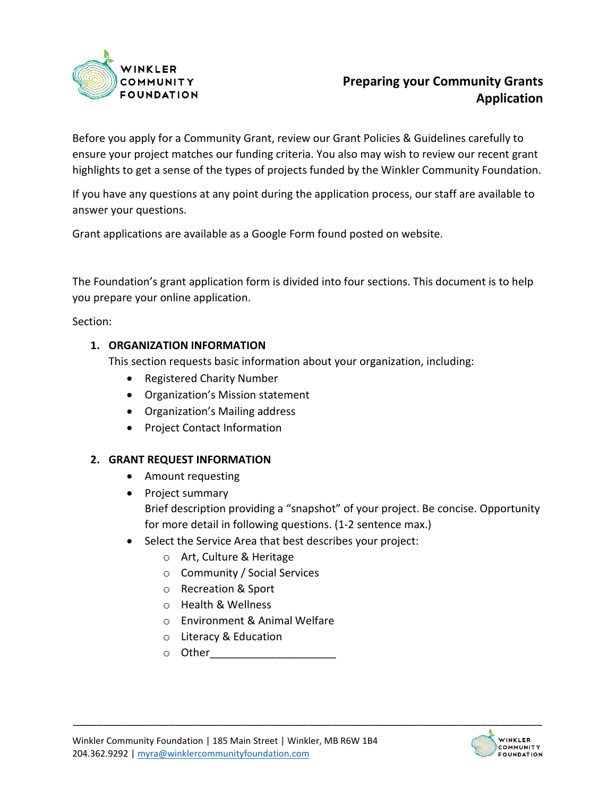

# **Preparing your Community Grants Application**

Before you apply for a Community Grant, review our Grant Policies & Guidelines carefully to ensure your project matches our funding criteria. You also may wish to review our recent grant highlights to get a sense of the types of projects funded by the Winkler Community Foundation.

If you have any questions at any point during the application process, our staff are available to answer your questions.

Grant applications are available as a Google Form found posted on website.

The Foundation's grant application form is divided into four sections. This document is to help you prepare your online application.

Section:

#### **1. ORGANIZATION INFORMATION**

This section requests basic information about your organization, including:

- Registered Charity Number
- Organization's Mission statement
- Organization's Mailing address
- Project Contact Information

#### **2. GRANT REQUEST INFORMATION**

- Amount requesting
- Project summary Brief description providing a "snapshot" of your project. Be concise. Opportunity for more detail in following questions. (1-2 sentence max.)
- Select the Service Area that best describes your project:
	- o Art, Culture & Heritage
	- o Community / Social Services
	- o Recreation & Sport
	- o Health & Wellness
	- o Environment & Animal Welfare
	- o Literacy & Education
	- $\circ$  Other